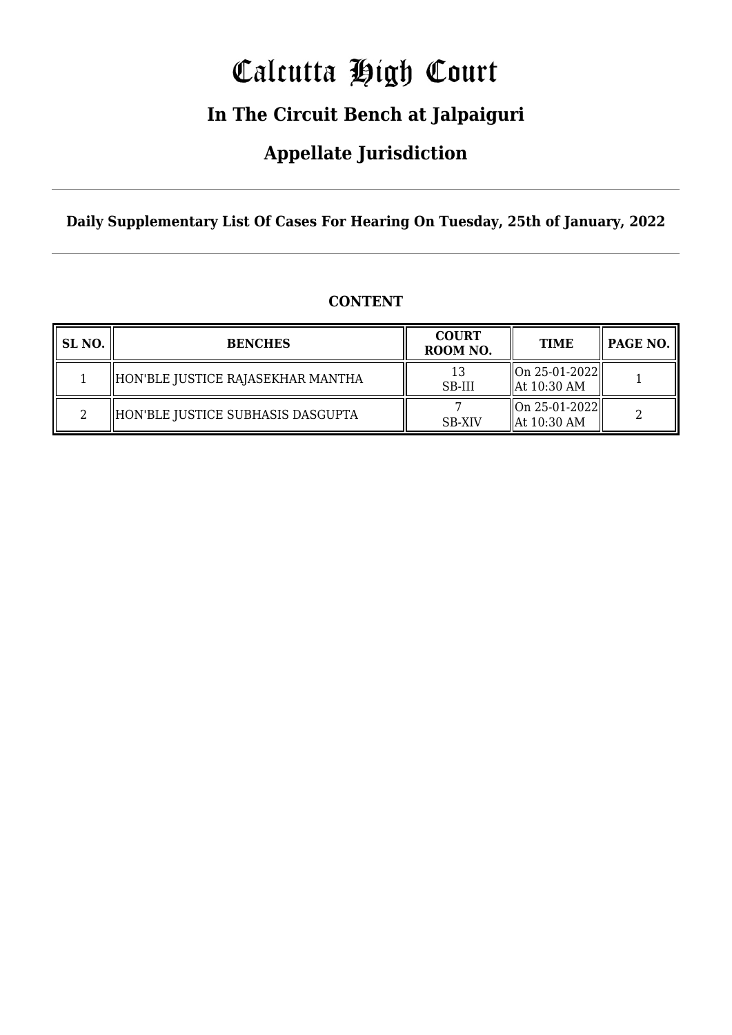# Calcutta High Court

### **In The Circuit Bench at Jalpaiguri**

### **Appellate Jurisdiction**

**Daily Supplementary List Of Cases For Hearing On Tuesday, 25th of January, 2022**

| SL NO. | <b>BENCHES</b>                    | <b>COURT</b><br>ROOM NO. | <b>TIME</b>                                        | PAGE NO. |
|--------|-----------------------------------|--------------------------|----------------------------------------------------|----------|
|        | HON'BLE JUSTICE RAJASEKHAR MANTHA | 13<br>SB-III             | $\ $ On 25-01-2022 $\ $<br>$\parallel$ At 10:30 AM |          |
| ∩      | HON'BLE JUSTICE SUBHASIS DASGUPTA | <b>SB-XIV</b>            | On 25-01-2022  <br>$\parallel$ At 10:30 AM         |          |

### **CONTENT**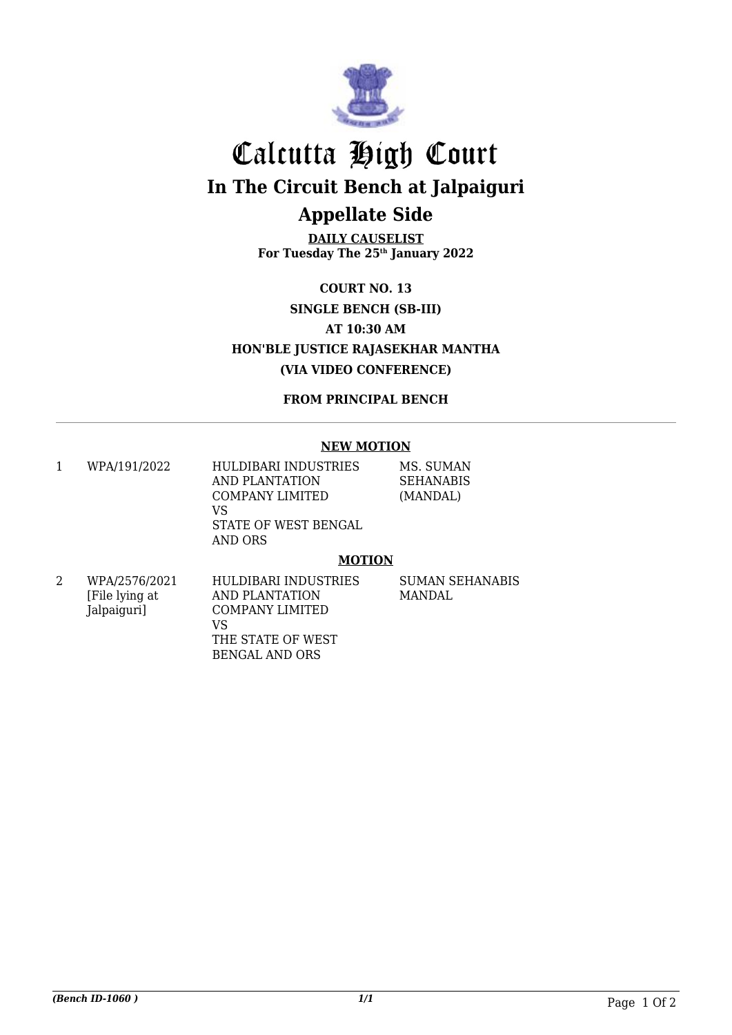

## Calcutta High Court **In The Circuit Bench at Jalpaiguri Appellate Side**

**DAILY CAUSELIST For Tuesday The 25th January 2022**

**COURT NO. 13 SINGLE BENCH (SB-III) AT 10:30 AM HON'BLE JUSTICE RAJASEKHAR MANTHA (VIA VIDEO CONFERENCE)**

**FROM PRINCIPAL BENCH**

#### **NEW MOTION**

1 WPA/191/2022 HULDIBARI INDUSTRIES AND PLANTATION COMPANY LIMITED VS STATE OF WEST BENGAL AND ORS MS. SUMAN **SEHANABIS** (MANDAL)

#### **MOTION**

2 WPA/2576/2021 [File lying at Jalpaiguri] HULDIBARI INDUSTRIES AND PLANTATION COMPANY LIMITED VS THE STATE OF WEST BENGAL AND ORS

SUMAN SEHANABIS MANDAL